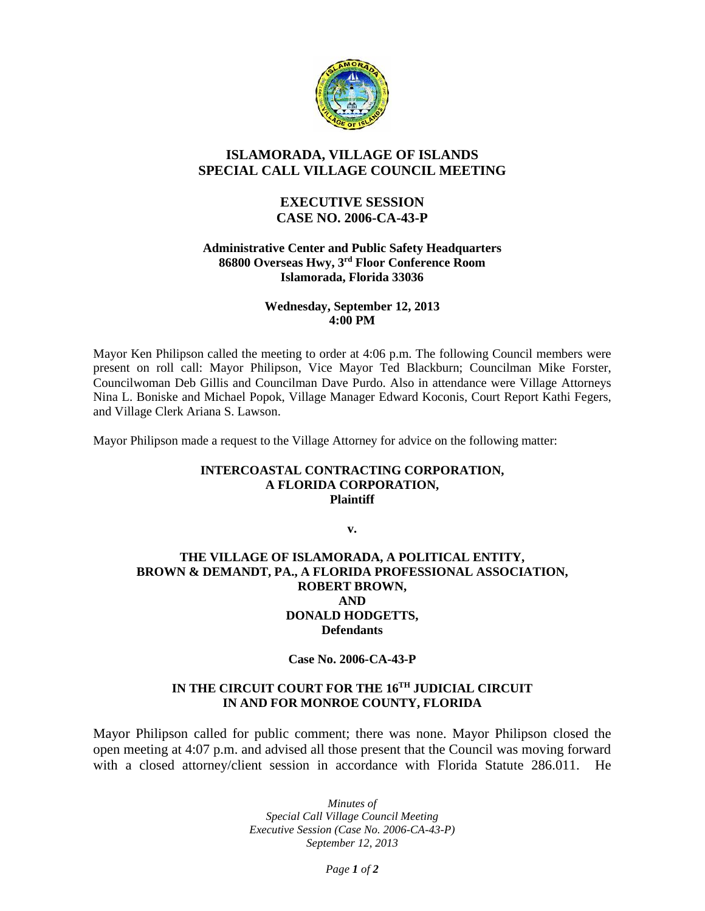

# **ISLAMORADA, VILLAGE OF ISLANDS SPECIAL CALL VILLAGE COUNCIL MEETING**

## **EXECUTIVE SESSION CASE NO. 2006-CA-43-P**

#### **Administrative Center and Public Safety Headquarters 86800 Overseas Hwy, 3rd Floor Conference Room Islamorada, Florida 33036**

#### **Wednesday, September 12, 2013 4:00 PM**

Mayor Ken Philipson called the meeting to order at 4:06 p.m. The following Council members were present on roll call: Mayor Philipson, Vice Mayor Ted Blackburn; Councilman Mike Forster, Councilwoman Deb Gillis and Councilman Dave Purdo. Also in attendance were Village Attorneys Nina L. Boniske and Michael Popok, Village Manager Edward Koconis, Court Report Kathi Fegers, and Village Clerk Ariana S. Lawson.

Mayor Philipson made a request to the Village Attorney for advice on the following matter:

#### **INTERCOASTAL CONTRACTING CORPORATION, A FLORIDA CORPORATION, Plaintiff**

**v.**

#### **THE VILLAGE OF ISLAMORADA, A POLITICAL ENTITY, BROWN & DEMANDT, PA., A FLORIDA PROFESSIONAL ASSOCIATION, ROBERT BROWN, AND DONALD HODGETTS, Defendants**

#### **Case No. 2006-CA-43-P**

### **IN THE CIRCUIT COURT FOR THE 16TH JUDICIAL CIRCUIT IN AND FOR MONROE COUNTY, FLORIDA**

Mayor Philipson called for public comment; there was none. Mayor Philipson closed the open meeting at 4:07 p.m. and advised all those present that the Council was moving forward with a closed attorney/client session in accordance with Florida Statute 286.011. He

> *Minutes of Special Call Village Council Meeting Executive Session (Case No. 2006-CA-43-P) September 12, 2013*